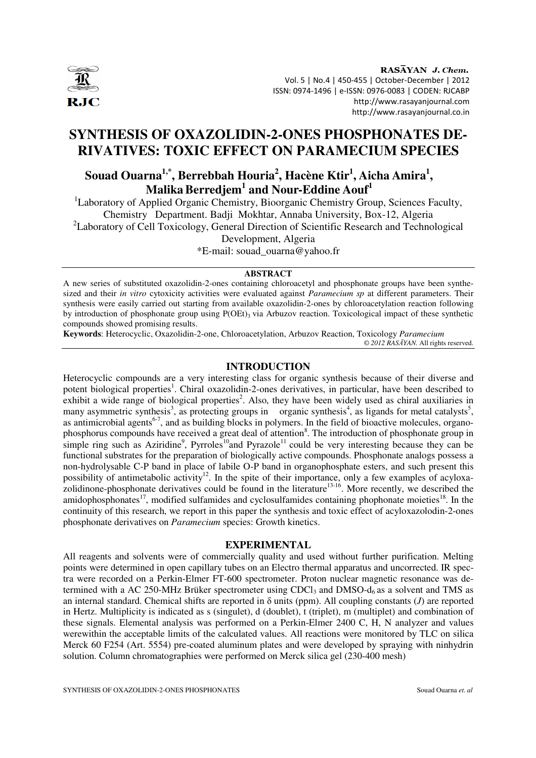

RASAYAN J. Chem. Vol. 5 | No.4 | 450-455 | October-December | 2012 ISSN: 0974-1496 | e-ISSN: 0976-0083 | CODEN: RJCABP http://www.rasayanjournal.com http://www.rasayanjournal.co.in

# **SYNTHESIS OF OXAZOLIDIN-2-ONES PHOSPHONATES DE-RIVATIVES: TOXIC EFFECT ON PARAMECIUM SPECIES**

# **Souad Ouarna1,\*, Berrebbah Houria<sup>2</sup> , Hacène Ktir<sup>1</sup> , Aicha Amira<sup>1</sup> , MalikaBerredjem<sup>1</sup> and Nour-Eddine Aouf<sup>1</sup>**

<sup>1</sup>Laboratory of Applied Organic Chemistry, Bioorganic Chemistry Group, Sciences Faculty, Chemistry Department. Badji Mokhtar, Annaba University, Box-12, Algeria <sup>2</sup>Laboratory of Cell Toxicology, General Direction of Scientific Research and Technological

Development, Algeria

\*E-mail: souad\_ouarna@yahoo.fr

# **ABSTRACT**

A new series of substituted oxazolidin-2-ones containing chloroacetyl and phosphonate groups have been synthesized and their *in vitro* cytoxicity activities were evaluated against *Paramecium sp* at different parameters. Their synthesis were easily carried out starting from available oxazolidin-2-ones by chloroacetylation reaction following by introduction of phosphonate group using P(OEt)<sub>3</sub> via Arbuzov reaction. Toxicological impact of these synthetic compounds showed promising results.

**Keywords**: Heterocyclic, Oxazolidin-2-one, Chloroacetylation, Arbuzov Reaction, Toxicology *Paramecium © 2012 RAS*Ā*YAN.* All rights reserved.

# **INTRODUCTION**

Heterocyclic compounds are a very interesting class for organic synthesis because of their diverse and potent biological properties<sup>1</sup>. Chiral oxazolidin-2-ones derivatives, in particular, have been described to exhibit a wide range of biological properties<sup>2</sup>. Also, they have been widely used as chiral auxiliaries in many asymmetric synthesis<sup>3</sup>, as protecting groups in organic synthesis<sup>4</sup>, as ligands for metal catalysts<sup>5</sup>, as antimicrobial agents<sup>6-7</sup>, and as building blocks in polymers. In the field of bioactive molecules, organophosphorus compounds have received a great deal of attention<sup>8</sup>. The introduction of phosphonate group in simple ring such as Aziridine<sup>9</sup>, Pyrroles<sup>10</sup>and Pyrazole<sup>11</sup> could be very interesting because they can be functional substrates for the preparation of biologically active compounds. Phosphonate analogs possess a non-hydrolysable C-P band in place of labile O-P band in organophosphate esters, and such present this possibility of antimetabolic activity<sup>12</sup>. In the spite of their importance, only a few examples of acyloxazolidinone-phosphonate derivatives could be found in the literature<sup>13-16</sup>. More recently, we described the amidophosphonates<sup>17</sup>, modified sulfamides and cyclosulfamides containing phophonate moieties<sup>18</sup>. In the continuity of this research, we report in this paper the synthesis and toxic effect of acyloxazolodin-2-ones phosphonate derivatives on *Paramecium* species: Growth kinetics.

#### **EXPERIMENTAL**

All reagents and solvents were of commercially quality and used without further purification. Melting points were determined in open capillary tubes on an Electro thermal apparatus and uncorrected. IR spectra were recorded on a Perkin-Elmer FT-600 spectrometer. Proton nuclear magnetic resonance was determined with a AC 250-MHz Brüker spectrometer using CDCl<sub>3</sub> and DMSO- $d_6$  as a solvent and TMS as an internal standard. Chemical shifts are reported in δ units (ppm). All coupling constants (*J*) are reported in Hertz. Multiplicity is indicated as s (singulet), d (doublet), t (triplet), m (multiplet) and combination of these signals. Elemental analysis was performed on a Perkin-Elmer 2400 C, H, N analyzer and values werewithin the acceptable limits of the calculated values. All reactions were monitored by TLC on silica Merck 60 F254 (Art. 5554) pre-coated aluminum plates and were developed by spraying with ninhydrin solution. Column chromatographies were performed on Merck silica gel (230-400 mesh)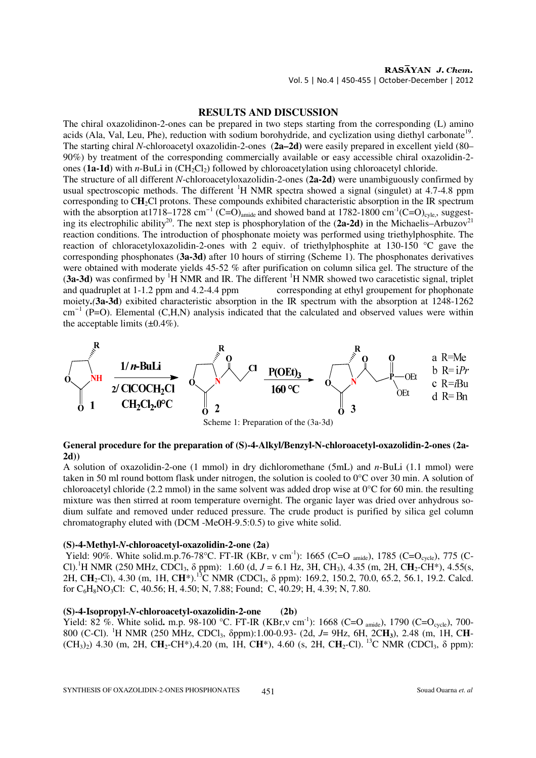# **RESULTS AND DISCUSSION**

The chiral oxazolidinon-2-ones can be prepared in two steps starting from the corresponding (L) amino acids (Ala, Val, Leu, Phe), reduction with sodium borohydride, and cyclization using diethyl carbonate<sup>19</sup>. The starting chiral *N*-chloroacetyl oxazolidin-2-ones (**2a–2d)** were easily prepared in excellent yield (80– 90%) by treatment of the corresponding commercially available or easy accessible chiral oxazolidin-2 ones (**1a-1d**) with *n*-BuLi in (CH<sub>2</sub>Cl<sub>2</sub>) followed by chloroacetylation using chloroacetyl chloride. The structure of all different *N*-chloroacetyloxazolidin-2-ones (**2a-2d)** were unambiguously confirmed by usual spectroscopic methods. The different <sup>1</sup>H NMR spectra showed a signal (singulet) at 4.7-4.8 ppm corresponding to CH<sub>2</sub>Cl protons. These compounds exhibited characteristic absorption in the IR spectrum with the absorption at1718–1728 cm<sup>-1</sup> (C=O)<sub>amide</sub> and showed band at 1782-1800 cm<sup>-1</sup>(C=O)<sub>cyle</sub>, suggesting its electrophilic ability<sup>20</sup>. The next step is phosphorylation of the (2a-2d) in the Michaelis–Arbuzov<sup>21</sup> reaction conditions. The introduction of phosphonate moiety was performed using triethylphosphite. The reaction of chloracetyloxazolidin-2-ones with 2 equiv. of triethylphosphite at 130-150 °C gave the corresponding phosphonates (**3a-3d)** after 10 hours of stirring (Scheme 1). The phosphonates derivatives were obtained with moderate yields 45-52 % after purification on column silica gel. The structure of the (3a-3d) was confirmed by <sup>1</sup>H NMR and IR. The different <sup>1</sup>H NMR showed two caracetistic signal, triplet and quadruplet at 1-1.2 ppm and 4.2-4.4 ppm corresponding at ethyl groupement for phophonate moiety**.***(***3a-3d**) exibited characteristic absorption in the IR spectrum with the absorption at 1248-1262 cm<sup>-1</sup> (P=O). Elemental (C,H,N) analysis indicated that the calculated and observed values were within the acceptable limits  $(\pm 0.4\%)$ .



# **General procedure for the preparation of (S)-4-Alkyl/Benzyl-N-chloroacetyl-oxazolidin-2-ones (2a-2d))**

A solution of oxazolidin-2-one (1 mmol) in dry dichloromethane (5mL) and *n*-BuLi (1.1 mmol) were taken in 50 ml round bottom flask under nitrogen, the solution is cooled to 0°C over 30 min. A solution of chloroacetyl chloride (2.2 mmol) in the same solvent was added drop wise at  $0^{\circ}$ C for 60 min. the resulting mixture was then stirred at room temperature overnight. The organic layer was dried over anhydrous sodium sulfate and removed under reduced pressure. The crude product is purified by silica gel column chromatography eluted with (DCM -MeOH-9.5:0.5) to give white solid.

#### **(S)-4-Methyl-***N***-chloroacetyl-oxazolidin-2-one (2a)**

Yield: 90%. White solid.m.p.76-78°C. FT-IR (KBr, v cm<sup>-1</sup>): 1665 (C=O <sub>amide</sub>), 1785 (C=O<sub>cycle</sub>), 775 (C-Cl).<sup>1</sup>H NMR (250 MHz, CDCl<sub>3</sub>,  $\delta$  ppm): 1.60 (d,  $J = 6.1$  Hz, 3H, CH<sub>3</sub>), 4.35 (m, 2H, C**H**<sub>2</sub>-CH<sup>\*</sup>), 4.55(s, 2H, C**H**2-Cl), 4.30 (m, 1H, C**H**\*).<sup>13</sup>C NMR (CDCl3, δ ppm): 169.2, 150.2, 70.0, 65.2, 56.1, 19.2. Calcd. for C6H8NO3Cl: C, 40.56; H, 4.50; N, 7.88; Found; C, 40.29; H, 4.39; N, 7.80.

# **(S)-4-Isopropyl-***N***-chloroacetyl-oxazolidin-2-one (2b)**

Yield: 82 %. White solid. m.p. 98-100 °C. FT-IR (KBr,v cm<sup>-1</sup>): 1668 (C=O <sub>amide</sub>), 1790 (C=O<sub>cycle</sub>), 700-800 (C-Cl). <sup>1</sup>H NMR (250 MHz, CDCl3, δppm):1.00-0.93- (2d, *J*= 9Hz, 6H, 2C**H3**), 2.48 (m, 1H, C**H**- (CH<sub>3</sub>)<sub>2</sub>) 4.30 (m, 2H, C**H**<sub>2</sub>-CH<sup>\*</sup>), 4.20 (m, 1H, C**H**<sup>\*</sup>), 4.60 (s, 2H, C**H**<sub>2</sub>-Cl).<sup>13</sup>C NMR (CDCl<sub>3</sub>, δ ppm):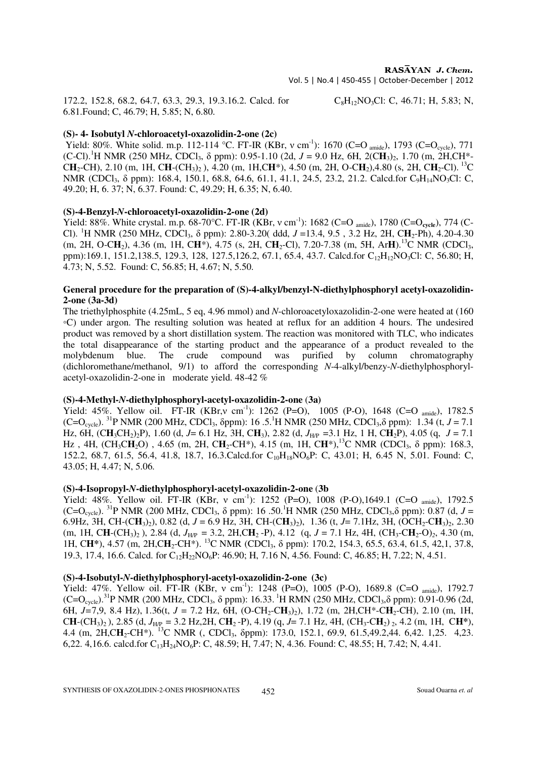172.2, 152.8, 68.2, 64.7, 63.3, 29.3, 19.3.16.2. Calcd. for  $C_8H_{12}NO_3Cl$ : C, 46.71; H, 5.83; N, 6.81.Found; C, 46.79; H, 5.85; N, 6.80.

# **(S)- 4- Isobutyl** *N***-chloroacetyl-oxazolidin-2-one (2c)**

Yield: 80%. White solid. m.p. 112-114 °C. FT-IR (KBr, ν cm<sup>-1</sup>): 1670 (C=O <sub>amide</sub>), 1793 (C=O<sub>cycle</sub>), 771  $(C-CI)$ .<sup>1</sup>H NMR (250 MHz, CDCl<sub>3</sub>,  $\delta$  ppm): 0.95-1.10 (2d,  $J = 9.0$  Hz, 6H, 2(CH<sub>3</sub>)<sub>2</sub>, 1.70 (m, 2H,CH<sup>\*</sup>-C**H**2-CH), 2.10 (m, 1H, C**H**-(CH3)2 ), 4.20 (m, 1H,C**H**\*), 4.50 (m, 2H, O-C**H**2),4.80 (s, 2H, C**H**2-Cl).<sup>13</sup>C NMR (CDCl<sub>3</sub>, δ ppm): 168.4, 150.1, 68.8, 64.6, 61.1, 41.1, 24.5, 23.2, 21.2. Calcd.for C<sub>9</sub>H<sub>14</sub>NO<sub>3</sub>Cl: C, 49.20; H, 6. 37; N, 6.37. Found: C, 49.29; H, 6.35; N, 6.40.

#### **(S)-4-Benzyl-***N***-chloroacetyl-oxazolidin-2-one (2d)**

Yield: 88%. White crystal. m.p. 68-70°C. FT-IR (KBr, v cm<sup>-1</sup>): 1682 (C=O <sub>amide</sub>), 1780 (C=O<sub>cycle</sub>), 774 (C-Cl). <sup>1</sup>H NMR (250 MHz, CDCl<sub>3</sub>,  $\delta$  ppm): 2.80-3.20( ddd,  $J = 13.4$ , 9.5, 3.2 Hz, 2H, CH<sub>2</sub>-Ph), 4.20-4.30 (m, 2H, O-C**H**2), 4.36 (m, 1H, C**H**\*), 4.75 (s, 2H, C**H**2-Cl), 7.20-7.38 (m, 5H, Ar**H**).<sup>13</sup>C NMR (CDCl3, ppm):169.1, 151.2,138.5, 129.3, 128, 127.5,126.2, 67.1, 65.4, 43.7. Calcd.for C<sub>12</sub>H<sub>12</sub>NO<sub>3</sub>Cl: C, 56.80; H, 4.73; N, 5.52. Found: C, 56.85; H, 4.67; N, 5.50.

# **General procedure for the preparation of (S)-4-alkyl/benzyl-N-diethylphosphoryl acetyl-oxazolidin-2-one (3a-3d)**

The triethylphosphite (4.25mL, 5 eq, 4.96 mmol) and *N*-chloroacetyloxazolidin-2-one were heated at (160 ◦C) under argon. The resulting solution was heated at reflux for an addition 4 hours. The undesired product was removed by a short distillation system. The reaction was monitored with TLC, who indicates the total disappearance of the starting product and the appearance of a product revealed to the molybdenum blue. The crude compound was purified by column chromatography (dichloromethane/methanol, 9/1) to afford the corresponding *N*-4-alkyl/benzy-*N*-diethylphosphorylacetyl-oxazolidin-2-one in moderate yield. 48-42 %

# **(S)-4-Methyl-***N***-diethylphosphoryl-acetyl-oxazolidin-2-one** (**3a)**

Yield: 45%. Yellow oil. FT-IR (KBr,v cm<sup>-1</sup>): 1262 (P=O), 1005 (P-O), 1648 (C=O <sub>amide</sub>), 1782.5  $(C=O_{cycle})$ . <sup>31</sup>P NMR (200 MHz, CDCl<sub>3</sub>, δppm): 16 .5.<sup>1</sup>H NMR (250 MHz, CDCl<sub>3</sub>, δ ppm): 1.34 (t, *J* = 7.1 Hz, 6H, (C**H**3CH2)2P), 1.60 (d, *J*= 6.1 Hz, 3H, C**H**3), 2.82 (d, *J*H/P =3.1 Hz, 1 H, C**H**2P), 4.05 (q, *J* = 7.1 Hz, 4H, (CH<sub>3</sub>CH<sub>2</sub>O), 4.65 (m, 2H, CH<sub>2</sub>-CH<sup>\*</sup>), 4.15 (m, 1H, CH<sup>\*</sup>),<sup>13</sup>C NMR (CDCl<sub>3</sub>, δ ppm): 168.3, 152.2, 68.7, 61.5, 56.4, 41.8, 18.7, 16.3.Calcd.for C<sub>10</sub>H<sub>18</sub>NO<sub>6</sub>P: C, 43.01; H, 6.45 N, 5.01. Found: C, 43.05; H, 4.47; N, 5.06.

# **(S)-4-Isopropyl-***N***-diethylphosphoryl-acetyl-oxazolidin-2-one** (**3b**

Yield: 48%. Yellow oil. FT-IR (KBr, v cm<sup>-1</sup>): 1252 (P=O), 1008 (P-O), 1649.1 (C=O <sub>amide</sub>), 1792.5  $(C=O_{cycle})$ . <sup>31</sup>P NMR (200 MHz, CDCl<sub>3</sub>,  $\delta$  ppm): 16 .50.<sup>1</sup>H NMR (250 MHz, CDCl<sub>3</sub>, $\delta$  ppm): 0.87 (d, *J* = 6.9Hz, 3H, CH-(CH<sub>3</sub>)<sub>2</sub>), 0.82 (d, *J* = 6.9 Hz, 3H, CH-(CH<sub>3</sub>)<sub>2</sub>), 1.36 (t, *J*= 7.1Hz, 3H, (OCH<sub>2</sub>-CH<sub>3</sub>)<sub>2</sub>, 2.30 (m, 1H, CH-(CH<sub>3</sub>)<sub>2</sub>), 2.84 (d,  $J_{HP}$  = 3.2, 2H,CH<sub>2</sub> -P), 4.12 (g, *J* = 7.1 Hz, 4H, (CH<sub>3</sub>-CH<sub>2</sub>-O)<sub>2</sub>, 4.30 (m, 1H, C**H**\*), 4.57 (m, 2H,CH<sub>2</sub>-CH<sup>\*</sup>). <sup>13</sup>C NMR (CDCl<sub>3</sub>, δ ppm): 170.2, 154.3, 65.5, 63.4, 61.5, 42,1, 37.8, 19.3, 17.4, 16.6. Calcd. for C12H22NO6P: 46.90; H, 7.16 N, 4.56. Found: C, 46.85; H, 7.22; N, 4.51.

#### **(S)-4-Isobutyl-***N***-diethylphosphoryl-acetyl-oxazolidin-2-one (3c)**

Yield: 47%. Yellow oil. FT-IR (KBr, v cm<sup>-1</sup>): 1248 (P=O), 1005 (P-O), 1689.8 (C=O <sub>amide</sub>), 1792.7  $(C=O_{cycle})$ .<sup>31</sup>P NMR (200 MHz, CDCl<sub>3</sub>,  $\delta$  ppm): 16.33.<sup>1</sup>H RMN (250 MHz, CDCl<sub>3</sub>, $\delta$  ppm): 0.91-0.96 (2d, 6H,  $J=7.9$ , 8.4 Hz), 1.36(t,  $J = 7.2$  Hz, 6H, (O-CH<sub>2</sub>-CH<sub>3</sub>)<sub>2</sub>), 1.72 (m, 2H,CH<sup>\*</sup>-CH<sub>2</sub>-CH), 2.10 (m, 1H, C**H**-(CH3)2 ), 2.85 (d, *J*H/P = 3.2 Hz,2H, C**H**2 -P), 4.19 (q, *J*= 7.1 Hz, 4H, (CH3-C**H**2) 2, 4.2 (m, 1H, C**H\***), 4.4 (m, 2H,CH<sub>2</sub>-CH<sup>\*</sup>). <sup>13</sup>C NMR (, CDCl<sub>3</sub>, δppm): 173.0, 152.1, 69.9, 61.5,49.2,44. 6,42. 1,25. 4,23. 6,22. 4,16.6. calcd.for C13H24NO6P: C, 48.59; H, 7.47; N, 4.36. Found: C, 48.55; H, 7.42; N, 4.41.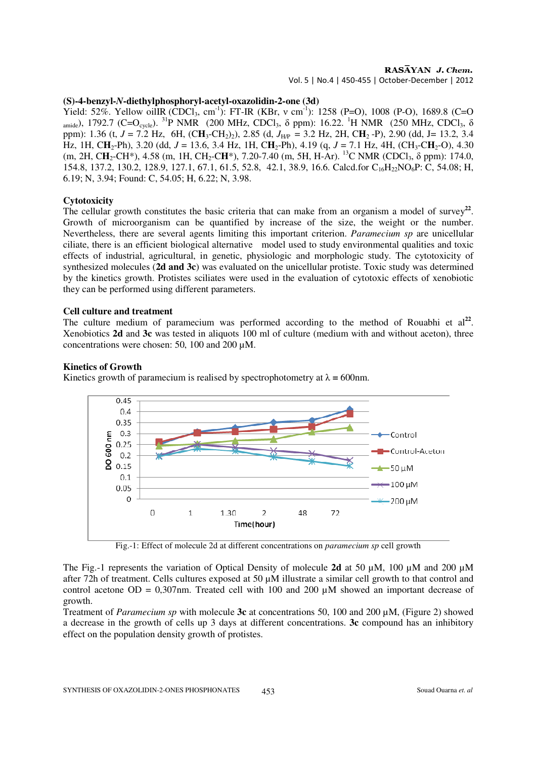# $RAS\overline{AYAN}$  J. Chem.

Vol. 5 | No.4 | 450-455 | October-December | 2012

### **(S)-4-benzyl-***N***-diethylphosphoryl-acetyl-oxazolidin-2-one (3d)**

Yield: 52%. Yellow oilIR (CDCl<sub>3</sub>, cm<sup>-1</sup>): FT-IR (KBr, v cm<sup>-1</sup>): 1258 (P=O), 1008 (P-O), 1689.8 (C=O amide), 1792.7 (C=O<sub>cycle</sub>). <sup>31</sup>P NMR (200 MHz, CDCl<sub>3</sub>,  $\delta$  ppm): 16.22. <sup>1</sup>H NMR (250 MHz, CDCl<sub>3</sub>,  $\delta$ ppm): 1.36 (t,  $J = 7.2$  Hz, 6H,  $(CH_3\text{-}CH_2)_2$ ), 2.85 (d,  $J_{HP} = 3.2$  Hz, 2H, C**H**<sub>2</sub> -P), 2.90 (dd, J= 13.2, 3.4 Hz, 1H, CH<sub>2</sub>-Ph), 3.20 (dd,  $J = 13.6$ , 3.4 Hz, 1H, CH<sub>2</sub>-Ph), 4.19 (q,  $J = 7.1$  Hz, 4H, (CH<sub>3</sub>-CH<sub>2</sub>-O), 4.30 (m, 2H, CH<sub>2</sub>-CH<sup>\*</sup>), 4.58 (m, 1H, CH<sub>2</sub>-CH<sup>\*</sup>), 7.20-7.40 (m, 5H, H-Ar). <sup>13</sup>C NMR (CDCl<sub>3</sub>, δ ppm): 174.0, 154.8, 137.2, 130.2, 128.9, 127.1, 67.1, 61.5, 52.8, 42.1, 38.9, 16.6. Calcd.for C<sub>16</sub>H<sub>22</sub>NO<sub>6</sub>P: C, 54.08; H, 6.19; N, 3.94; Found: C, 54.05; H, 6.22; N, 3.98.

#### **Cytotoxicity**

The cellular growth constitutes the basic criteria that can make from an organism a model of survey<sup>22</sup>. Growth of microorganism can be quantified by increase of the size, the weight or the number. Nevertheless, there are several agents limiting this important criterion. *Paramecium sp* are unicellular ciliate, there is an efficient biological alternative model used to study environmental qualities and toxic effects of industrial, agricultural, in genetic, physiologic and morphologic study. The cytotoxicity of synthesized molecules (**2d and 3c**) was evaluated on the unicellular protiste. Toxic study was determined by the kinetics growth. Protistes sciliates were used in the evaluation of cytotoxic effects of xenobiotic they can be performed using different parameters.

#### **Cell culture and treatment**

The culture medium of paramecium was performed according to the method of Rouabhi et  $al<sup>22</sup>$ . Xenobiotics **2d** and **3c** was tested in aliquots 100 ml of culture (medium with and without aceton), three concentrations were chosen: 50, 100 and 200 µM.

#### **Kinetics of Growth**

Kinetics growth of paramecium is realised by spectrophotometry at  $\lambda = 600$  nm.



Fig.-1: Effect of molecule 2d at different concentrations on *paramecium sp* cell growth

The Fig.-1 represents the variation of Optical Density of molecule **2d** at 50 µM, 100 µM and 200 µM after 72h of treatment. Cells cultures exposed at 50 µM illustrate a similar cell growth to that control and control acetone OD = 0,307nm. Treated cell with 100 and 200  $\mu$ M showed an important decrease of growth.

Treatment of *Paramecium sp* with molecule **3c** at concentrations 50, 100 and 200 µM, (Figure 2) showed a decrease in the growth of cells up 3 days at different concentrations. **3c** compound has an inhibitory effect on the population density growth of protistes.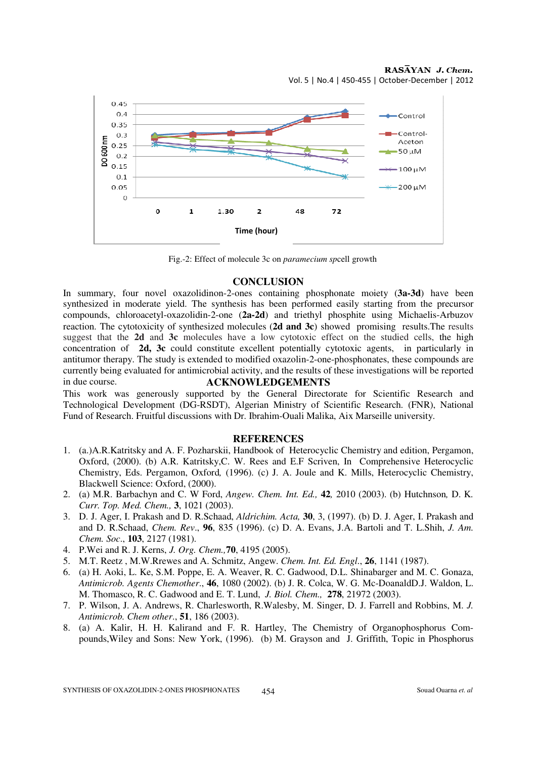

Fig.-2: Effect of molecule 3c on *paramecium sp*cell growth

#### **CONCLUSION**

In summary, four novel oxazolidinon-2-ones containing phosphonate moiety (**3a-3d**) have been synthesized in moderate yield. The synthesis has been performed easily starting from the precursor compounds, chloroacetyl-oxazolidin-2-one (**2a-2d**) and triethyl phosphite using Michaelis-Arbuzov reaction. The cytotoxicity of synthesized molecules (**2d and 3c**) showed promising results.The results suggest that the **2d** and **3c** molecules have a low cytotoxic effect on the studied cells, the high concentration of **2d, 3c** could constitute excellent potentially cytotoxic agents, in particularly in antitumor therapy. The study is extended to modified oxazolin-2-one-phosphonates, these compounds are currently being evaluated for antimicrobial activity, and the results of these investigations will be reported in due course. **ACKNOWLEDGEMENTS**

This work was generously supported by the General Directorate for Scientific Research and Technological Development (DG-RSDT), Algerian Ministry of Scientific Research. (FNR), National Fund of Research. Fruitful discussions with Dr. Ibrahim-Ouali Malika, Aix Marseille university.

#### **REFERENCES**

- 1. (a.)A.R.Katritsky and A. F. Pozharskii, Handbook of Heterocyclic Chemistry and edition, Pergamon, Oxford, (2000). (b) A.R. Katritsky,C. W. Rees and E.F Scriven, In Comprehensive Heterocyclic Chemistry, Eds. Pergamon, Oxford*,* (1996). (c) J. A. Joule and K. Mills, Heterocyclic Chemistry, Blackwell Science: Oxford, (2000).
- 2. (a) M.R. Barbachyn and C. W Ford, *Angew. Chem. Int. Ed.,* **42***,* 2010 (2003). (b) Hutchnson*,* D. K*. Curr. Top. Med. Chem.,* **3**, 1021 (2003).
- 3. D. J. Ager, I. Prakash and D. R.Schaad, *Aldrichim. Acta,* **30**, 3, (1997). (b) D. J. Ager, I. Prakash and and D. R.Schaad, *Chem. Rev*., **96**, 835 (1996). (c) D. A. Evans, J.A. Bartoli and T. L.Shih, *J. Am. Chem. Soc*., **103**, 2127 (1981).
- 4. P.Wei and R. J. Kerns, *J. Org. Chem.,***70**, 4195 (2005).
- 5. M.T. Reetz , M.W.Rrewes and A. Schmitz, Angew. *Chem. Int. Ed. Engl*., **26**, 1141 (1987).
- 6. (a) H. Aoki, L. Ke, S.M. Poppe, E. A. Weaver, R. C. Gadwood, D.L. Shinabarger and M. C. Gonaza, *Antimicrob. Agents Chemother*., **46**, 1080 (2002). (b) J. R. Colca, W. G. Mc-DoanaldD.J. Waldon, L. M. Thomasco, R. C. Gadwood and E. T. Lund, *J. Biol. Chem.,* **278**, 21972 (2003).
- 7. P. Wilson, J. A. Andrews, R. Charlesworth, R.Walesby, M. Singer, D. J. Farrell and Robbins, M. *J. Antimicrob. Chem other*., **51**, 186 (2003).
- 8. (a) A. Kalir, H. H. Kalirand and F. R. Hartley, The Chemistry of Organophosphorus Compounds,Wiley and Sons: New York, (1996). (b) M. Grayson and J. Griffith, Topic in Phosphorus